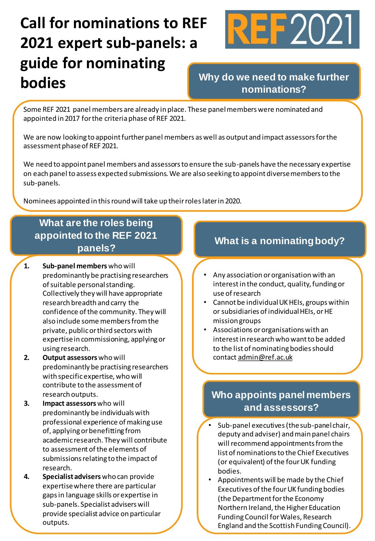# **Call for nominations to REF 2021 expert sub-panels: a guide for nominating bodies Why do we need to make further**



# **nominations?**

Some REF 2021 panel members are already in place. These panel members were nominated and appointed in 2017 for the criteria phase of REF 2021.

We are now looking to appoint further panel members as well as output and impact assessors for the assessment phase of REF 2021.

We need to appoint panel members and assessors to ensure the sub-panels have the necessary expertise on each panel to assess expected submissions. We are also seeking to appoint diverse members to the sub-panels.

Nominees appointed in this round will take up their roles later in 2020.

## **What are the roles being appointed to the REF 2021 panels?**

- **1. Sub-panel members** who will predominantly be practising researchers of suitable personal standing. Collectively they will have appropriate research breadth and carry the confidence of the community. They will also include some members from the private, public or third sectors with expertise in commissioning, applying or using research.
- **2. Output assessors** who will predominantly be practising researchers with specific expertise, who will contribute to the assessment of research outputs.
- **3. Impact assessors** who will predominantly be individuals with professional experience of making use of, applying or benefitting from academic research. They will contribute to assessment of the elements of submissions relating to the impact of research.
- **4. Specialist advisers** who can provide expertise where there are particular gaps in language skills or expertise in sub-panels. Specialist advisers will provide specialist advice on particular outputs.

## **What is a nominating body?**

- Any association or organisation with an interest in the conduct, quality, funding or use of research
- Cannot be individual UK HEIs, groups within or subsidiaries of individual HEIs, or HE mission groups
- Associations or organisations with an interest in research who want to be added to the list of nominating bodies should contact admin@ref.ac.uk

## **Who appoints panel members and assessors?**

- Sub-panel executives (the sub-panel chair, deputy and adviser) and main panel chairs will recommend appointments from the list of nominations to the Chief Executives (or equivalent) of the four UK funding bodies.
- Appointments will be made by the Chief Executives of the four UK funding bodies (the Department for the Economy Northern Ireland, the Higher Education Funding Council for Wales, Research England and the Scottish Funding Council).